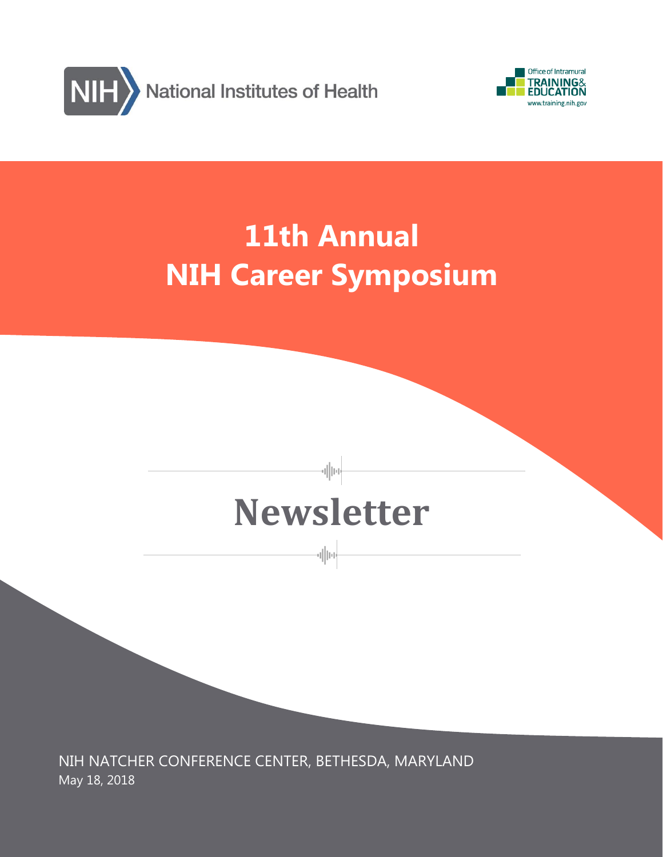



# **11th Annual NIH Career Symposium**

# **Newsletter**

-allue

-el||10-

NIH NATCHER CONFERENCE CENTER, BETHESDA, MARYLAND May 18, 2018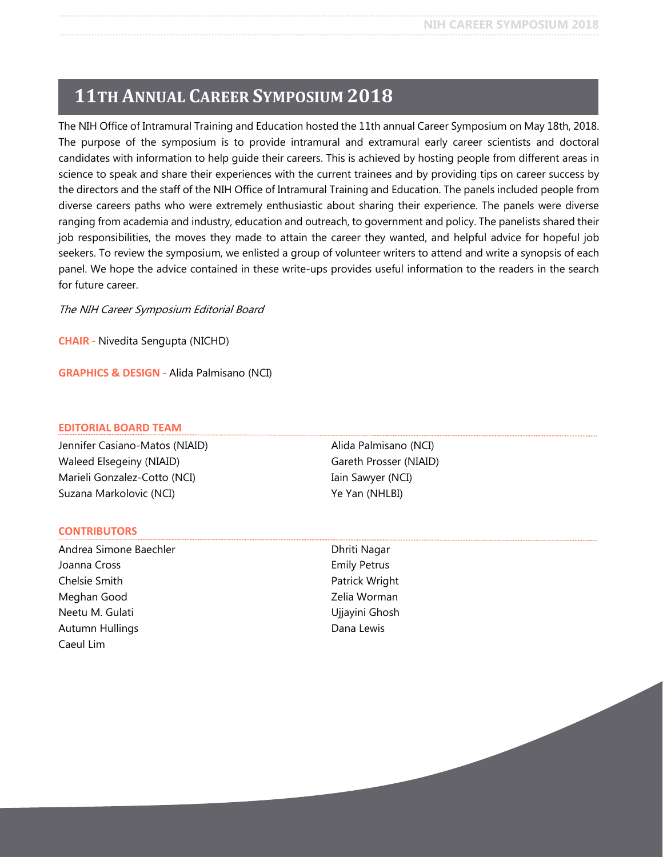# **11TH ANNUAL CAREER SYMPOSIUM 2018**

The NIH Office of Intramural Training and Education hosted the 11th annual Career Symposium on May 18th, 2018. The purpose of the symposium is to provide intramural and extramural early career scientists and doctoral candidates with information to help guide their careers. This is achieved by hosting people from different areas in science to speak and share their experiences with the current trainees and by providing tips on career success by the directors and the staff of the NIH Office of Intramural Training and Education. The panels included people from diverse careers paths who were extremely enthusiastic about sharing their experience. The panels were diverse ranging from academia and industry, education and outreach, to government and policy. The panelists shared their job responsibilities, the moves they made to attain the career they wanted, and helpful advice for hopeful job seekers. To review the symposium, we enlisted a group of volunteer writers to attend and write a synopsis of each panel. We hope the advice contained in these write-ups provides useful information to the readers in the search for future career.

The NIH Career Symposium Editorial Board

**CHAIR -** Nivedita Sengupta (NICHD)

**GRAPHICS & DESIGN -** Alida Palmisano (NCI)

#### **EDITORIAL BOARD TEAM**

Jennifer Casiano-Matos (NIAID) Waleed Elsegeiny (NIAID) Marieli Gonzalez-Cotto (NCI) Suzana Markolovic (NCI)

#### **CONTRIBUTORS**

Andrea Simone Baechler Joanna Cross Chelsie Smith Meghan Good Neetu M. Gulati Autumn Hullings Caeul Lim

Alida Palmisano (NCI) Gareth Prosser (NIAID) Iain Sawyer (NCI) Ye Yan (NHLBI)

Dhriti Nagar Emily Petrus Patrick Wright Zelia Worman Ujjayini Ghosh Dana Lewis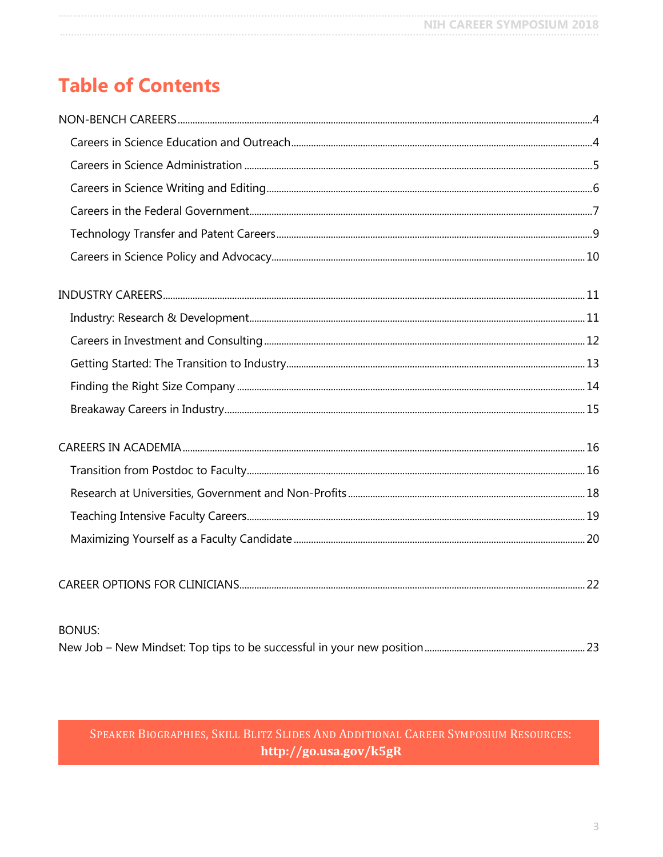# **Table of Contents**

| <b>BONUS:</b> |  |
|---------------|--|
|               |  |

### SPEAKER BIOGRAPHIES, SKILL BLITZ SLIDES AND ADDITIONAL CAREER SYMPOSIUM RESOURCES: http://go.usa.gov/k5gR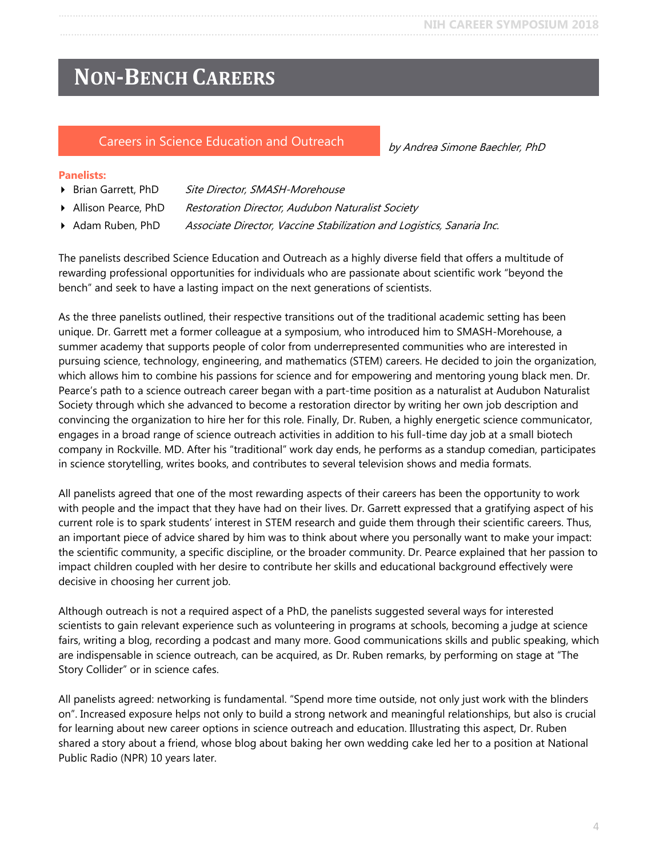# <span id="page-3-0"></span>**NON-BENCH CAREERS**

#### <span id="page-3-1"></span>Careers in Science Education and Outreach

by Andrea Simone Baechler, PhD

#### **Panelists:**

- ▶ Brian Garrett, PhD Site Director, SMASH-Morehouse
- Allison Pearce, PhD Restoration Director, Audubon Naturalist Society
- Adam Ruben, PhD Associate Director, Vaccine Stabilization and Logistics, Sanaria Inc.

The panelists described Science Education and Outreach as a highly diverse field that offers a multitude of rewarding professional opportunities for individuals who are passionate about scientific work "beyond the bench" and seek to have a lasting impact on the next generations of scientists.

As the three panelists outlined, their respective transitions out of the traditional academic setting has been unique. Dr. Garrett met a former colleague at a symposium, who introduced him to SMASH-Morehouse, a summer academy that supports people of color from underrepresented communities who are interested in pursuing science, technology, engineering, and mathematics (STEM) careers. He decided to join the organization, which allows him to combine his passions for science and for empowering and mentoring young black men. Dr. Pearce's path to a science outreach career began with a part-time position as a naturalist at Audubon Naturalist Society through which she advanced to become a restoration director by writing her own job description and convincing the organization to hire her for this role. Finally, Dr. Ruben, a highly energetic science communicator, engages in a broad range of science outreach activities in addition to his full-time day job at a small biotech company in Rockville. MD. After his "traditional" work day ends, he performs as a standup comedian, participates in science storytelling, writes books, and contributes to several television shows and media formats.

All panelists agreed that one of the most rewarding aspects of their careers has been the opportunity to work with people and the impact that they have had on their lives. Dr. Garrett expressed that a gratifying aspect of his current role is to spark students' interest in STEM research and guide them through their scientific careers. Thus, an important piece of advice shared by him was to think about where you personally want to make your impact: the scientific community, a specific discipline, or the broader community. Dr. Pearce explained that her passion to impact children coupled with her desire to contribute her skills and educational background effectively were decisive in choosing her current job.

Although outreach is not a required aspect of a PhD, the panelists suggested several ways for interested scientists to gain relevant experience such as volunteering in programs at schools, becoming a judge at science fairs, writing a blog, recording a podcast and many more. Good communications skills and public speaking, which are indispensable in science outreach, can be acquired, as Dr. Ruben remarks, by performing on stage at "The Story Collider" or in science cafes.

All panelists agreed: networking is fundamental. "Spend more time outside, not only just work with the blinders on". Increased exposure helps not only to build a strong network and meaningful relationships, but also is crucial for learning about new career options in science outreach and education. Illustrating this aspect, Dr. Ruben shared a story about a friend, whose blog about baking her own wedding cake led her to a position at National Public Radio (NPR) 10 years later.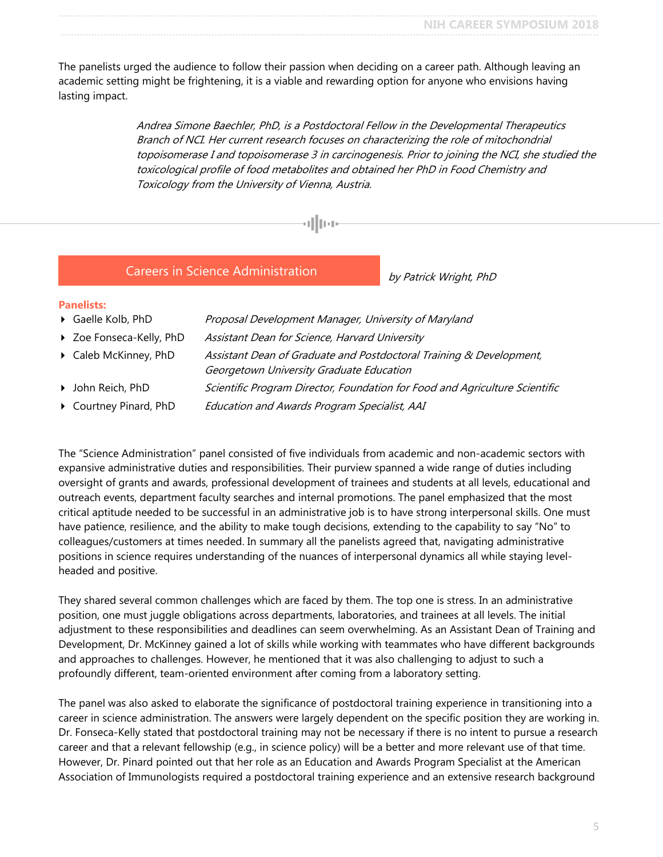The panelists urged the audience to follow their passion when deciding on a career path. Although leaving an academic setting might be frightening, it is a viable and rewarding option for anyone who envisions having lasting impact.

alluar

Andrea Simone Baechler, PhD, is a Postdoctoral Fellow in the Developmental Therapeutics Branch of NCI. Her current research focuses on characterizing the role of mitochondrial topoisomerase I and topoisomerase 3 in carcinogenesis. Prior to joining the NCI, she studied the toxicological profile of food metabolites and obtained her PhD in Food Chemistry and Toxicology from the University of Vienna, Austria.

#### Careers in Science Administration

by Patrick Wright, PhD

<span id="page-4-0"></span>

- Gaelle Kolb, PhD Proposal Development Manager, University of Maryland
- ▶ Zoe Fonseca-Kelly, PhD Assistant Dean for Science, Harvard University
- **Caleb McKinney, PhD** Assistant Dean of Graduate and Postdoctoral Training & Development,
- Georgetown University Graduate Education
- **I** John Reich, PhD Scientific Program Director, Foundation for Food and Agriculture Scientific
- Courtney Pinard, PhD Education and Awards Program Specialist, AAI

The "Science Administration" panel consisted of five individuals from academic and non-academic sectors with expansive administrative duties and responsibilities. Their purview spanned a wide range of duties including oversight of grants and awards, professional development of trainees and students at all levels, educational and outreach events, department faculty searches and internal promotions. The panel emphasized that the most critical aptitude needed to be successful in an administrative job is to have strong interpersonal skills. One must have patience, resilience, and the ability to make tough decisions, extending to the capability to say "No" to colleagues/customers at times needed. In summary all the panelists agreed that, navigating administrative positions in science requires understanding of the nuances of interpersonal dynamics all while staying levelheaded and positive.

They shared several common challenges which are faced by them. The top one is stress. In an administrative position, one must juggle obligations across departments, laboratories, and trainees at all levels. The initial adjustment to these responsibilities and deadlines can seem overwhelming. As an Assistant Dean of Training and Development, Dr. McKinney gained a lot of skills while working with teammates who have different backgrounds and approaches to challenges. However, he mentioned that it was also challenging to adjust to such a profoundly different, team-oriented environment after coming from a laboratory setting.

The panel was also asked to elaborate the significance of postdoctoral training experience in transitioning into a career in science administration. The answers were largely dependent on the specific position they are working in. Dr. Fonseca-Kelly stated that postdoctoral training may not be necessary if there is no intent to pursue a research career and that a relevant fellowship (e.g., in science policy) will be a better and more relevant use of that time. However, Dr. Pinard pointed out that her role as an Education and Awards Program Specialist at the American Association of Immunologists required a postdoctoral training experience and an extensive research background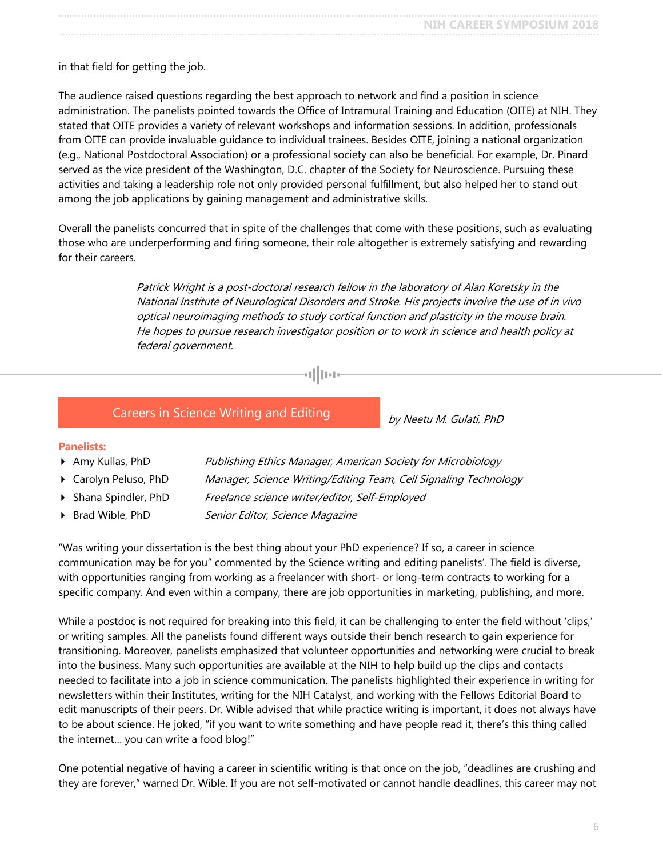in that field for getting the job.

The audience raised questions regarding the best approach to network and find a position in science administration. The panelists pointed towards the Office of Intramural Training and Education (OITE) at NIH. They stated that OITE provides a variety of relevant workshops and information sessions. In addition, professionals from OITE can provide invaluable guidance to individual trainees. Besides OITE, joining a national organization (e.g., National Postdoctoral Association) or a professional society can also be beneficial. For example, Dr. Pinard served as the vice president of the Washington, D.C. chapter of the Society for Neuroscience. Pursuing these activities and taking a leadership role not only provided personal fulfillment, but also helped her to stand out among the job applications by gaining management and administrative skills.

Overall the panelists concurred that in spite of the challenges that come with these positions, such as evaluating those who are underperforming and firing someone, their role altogether is extremely satisfying and rewarding for their careers.

> Patrick Wright is a post-doctoral research fellow in the laboratory of Alan Koretsky in the National Institute of Neurological Disorders and Stroke. His projects involve the use of in vivo optical neuroimaging methods to study cortical function and plasticity in the mouse brain. He hopes to pursue research investigator position or to work in science and health policy at federal government.

#### Careers in Science Writing and Editing

by Neetu M. Gulati, PhD

#### <span id="page-5-0"></span>**Panelists:**

- 
- 
- 
- 

**Amy Kullas, PhD** Publishing Ethics Manager, American Society for Microbiology

- **Carolyn Peluso, PhD** Manager, Science Writing/Editing Team, Cell Signaling Technology
- Shana Spindler, PhD Freelance science writer/editor, Self-Employed
- ▶ Brad Wible, PhD Senior Editor, Science Magazine

"Was writing your dissertation is the best thing about your PhD experience? If so, a career in science communication may be for you" commented by the Science writing and editing panelists'. The field is diverse, with opportunities ranging from working as a freelancer with short- or long-term contracts to working for a specific company. And even within a company, there are job opportunities in marketing, publishing, and more.

While a postdoc is not required for breaking into this field, it can be challenging to enter the field without 'clips,' or writing samples. All the panelists found different ways outside their bench research to gain experience for transitioning. Moreover, panelists emphasized that volunteer opportunities and networking were crucial to break into the business. Many such opportunities are available at the NIH to help build up the clips and contacts needed to facilitate into a job in science communication. The panelists highlighted their experience in writing for newsletters within their Institutes, writing for the NIH Catalyst, and working with the Fellows Editorial Board to edit manuscripts of their peers. Dr. Wible advised that while practice writing is important, it does not always have to be about science. He joked, "if you want to write something and have people read it, there's this thing called the internet… you can write a food blog!"

One potential negative of having a career in scientific writing is that once on the job, "deadlines are crushing and they are forever," warned Dr. Wible. If you are not self-motivated or cannot handle deadlines, this career may not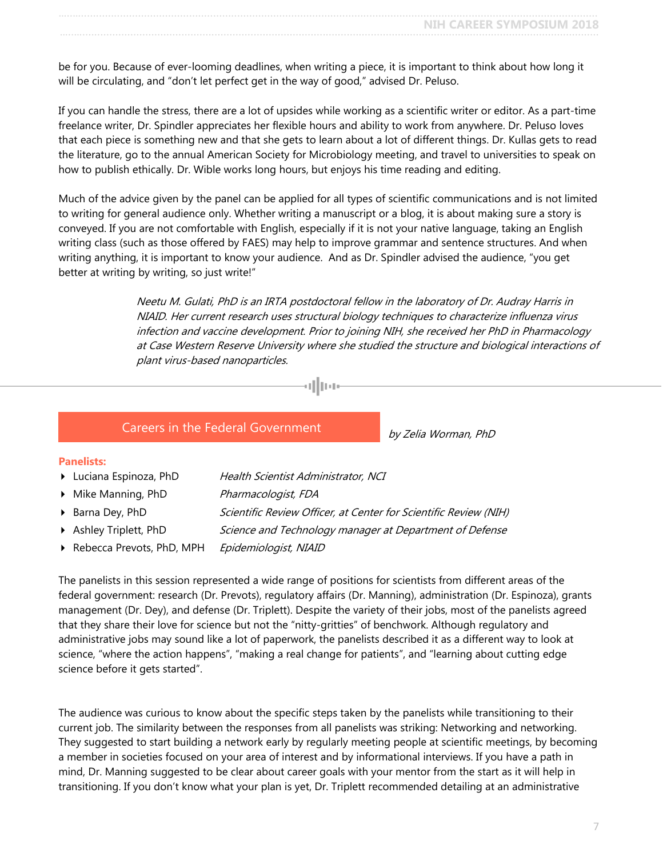be for you. Because of ever-looming deadlines, when writing a piece, it is important to think about how long it will be circulating, and "don't let perfect get in the way of good," advised Dr. Peluso.

If you can handle the stress, there are a lot of upsides while working as a scientific writer or editor. As a part-time freelance writer, Dr. Spindler appreciates her flexible hours and ability to work from anywhere. Dr. Peluso loves that each piece is something new and that she gets to learn about a lot of different things. Dr. Kullas gets to read the literature, go to the annual American Society for Microbiology meeting, and travel to universities to speak on how to publish ethically. Dr. Wible works long hours, but enjoys his time reading and editing.

Much of the advice given by the panel can be applied for all types of scientific communications and is not limited to writing for general audience only. Whether writing a manuscript or a blog, it is about making sure a story is conveyed. If you are not comfortable with English, especially if it is not your native language, taking an English writing class (such as those offered by FAES) may help to improve grammar and sentence structures. And when writing anything, it is important to know your audience. And as Dr. Spindler advised the audience, "you get better at writing by writing, so just write!"

레마

Neetu M. Gulati, PhD is an IRTA postdoctoral fellow in the laboratory of Dr. Audray Harris in NIAID. Her current research uses structural biology techniques to characterize influenza virus infection and vaccine development. Prior to joining NIH, she received her PhD in Pharmacology at Case Western Reserve University where she studied the structure and biological interactions of plant virus-based nanoparticles.

#### Careers in the Federal Government

by Zelia Worman, PhD

#### <span id="page-6-0"></span>**Panelists:**

- **Luciana Espinoza, PhD** Health Scientist Administrator, NCI
- Mike Manning, PhD Pharmacologist, FDA
- **Barna Dey, PhD** Scientific Review Officer, at Center for Scientific Review (NIH)
- Ashley Triplett, PhD Science and Technology manager at Department of Defense
- Rebecca Prevots, PhD, MPH Epidemiologist, NIAID

The panelists in this session represented a wide range of positions for scientists from different areas of the federal government: research (Dr. Prevots), regulatory affairs (Dr. Manning), administration (Dr. Espinoza), grants management (Dr. Dey), and defense (Dr. Triplett). Despite the variety of their jobs, most of the panelists agreed that they share their love for science but not the "nitty-gritties" of benchwork. Although regulatory and administrative jobs may sound like a lot of paperwork, the panelists described it as a different way to look at science, "where the action happens", "making a real change for patients", and "learning about cutting edge science before it gets started".

The audience was curious to know about the specific steps taken by the panelists while transitioning to their current job. The similarity between the responses from all panelists was striking: Networking and networking. They suggested to start building a network early by regularly meeting people at scientific meetings, by becoming a member in societies focused on your area of interest and by informational interviews. If you have a path in mind, Dr. Manning suggested to be clear about career goals with your mentor from the start as it will help in transitioning. If you don't know what your plan is yet, Dr. Triplett recommended detailing at an administrative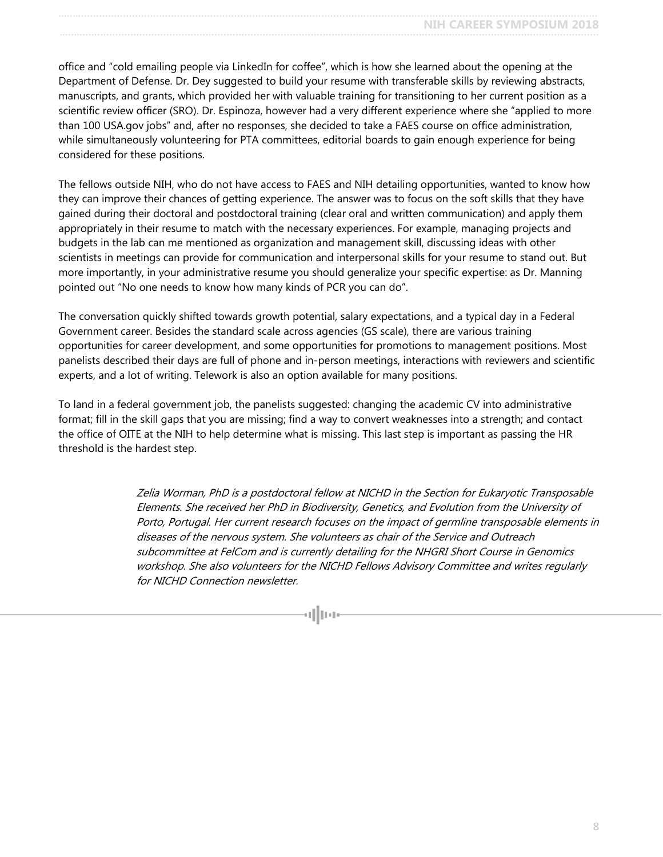office and "cold emailing people via LinkedIn for coffee", which is how she learned about the opening at the Department of Defense. Dr. Dey suggested to build your resume with transferable skills by reviewing abstracts, manuscripts, and grants, which provided her with valuable training for transitioning to her current position as a scientific review officer (SRO). Dr. Espinoza, however had a very different experience where she "applied to more than 100 USA.gov jobs" and, after no responses, she decided to take a FAES course on office administration, while simultaneously volunteering for PTA committees, editorial boards to gain enough experience for being considered for these positions.

The fellows outside NIH, who do not have access to FAES and NIH detailing opportunities, wanted to know how they can improve their chances of getting experience. The answer was to focus on the soft skills that they have gained during their doctoral and postdoctoral training (clear oral and written communication) and apply them appropriately in their resume to match with the necessary experiences. For example, managing projects and budgets in the lab can me mentioned as organization and management skill, discussing ideas with other scientists in meetings can provide for communication and interpersonal skills for your resume to stand out. But more importantly, in your administrative resume you should generalize your specific expertise: as Dr. Manning pointed out "No one needs to know how many kinds of PCR you can do".

The conversation quickly shifted towards growth potential, salary expectations, and a typical day in a Federal Government career. Besides the standard scale across agencies (GS scale), there are various training opportunities for career development, and some opportunities for promotions to management positions. Most panelists described their days are full of phone and in-person meetings, interactions with reviewers and scientific experts, and a lot of writing. Telework is also an option available for many positions.

To land in a federal government job, the panelists suggested: changing the academic CV into administrative format; fill in the skill gaps that you are missing; find a way to convert weaknesses into a strength; and contact the office of OITE at the NIH to help determine what is missing. This last step is important as passing the HR threshold is the hardest step.

> Zelia Worman, PhD is a postdoctoral fellow at NICHD in the Section for Eukaryotic Transposable Elements. She received her PhD in Biodiversity, Genetics, and Evolution from the University of Porto, Portugal. Her current research focuses on the impact of germline transposable elements in diseases of the nervous system. She volunteers as chair of the Service and Outreach subcommittee at FelCom and is currently detailing for the NHGRI Short Course in Genomics workshop. She also volunteers for the NICHD Fellows Advisory Committee and writes regularly for NICHD Connection newsletter.

> > dloa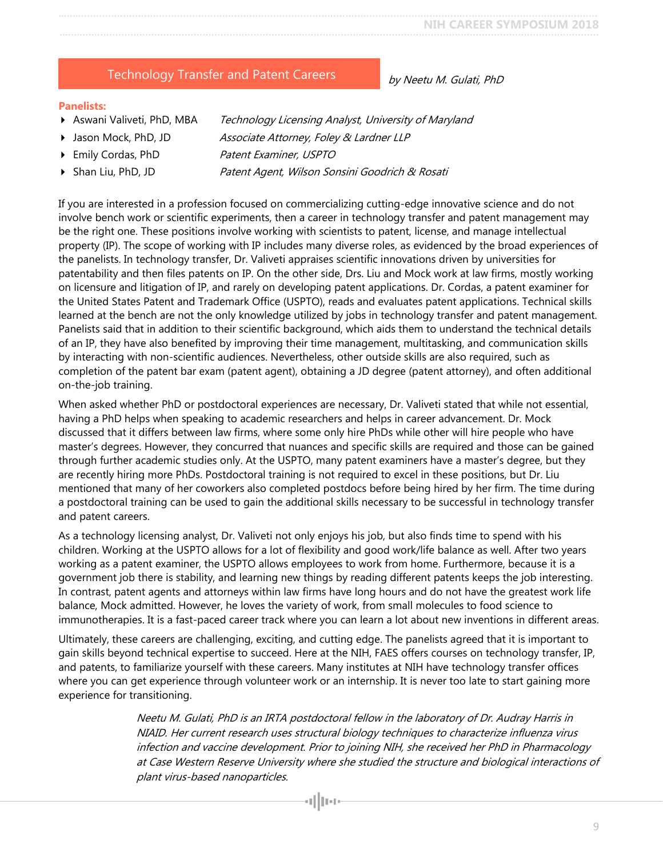### Technology Transfer and Patent Careers

by Neetu M. Gulati, PhD

#### <span id="page-8-0"></span>**Panelists:**

- Aswani Valiveti, PhD, MBA Technology Licensing Analyst, University of Maryland
- ▶ Jason Mock, PhD, JD Associate Attorney, Foley & Lardner LLP
- ▶ Emily Cordas, PhD Patent Examiner, USPTO
- ▶ Shan Liu, PhD, JD Patent Agent, Wilson Sonsini Goodrich & Rosati

If you are interested in a profession focused on commercializing cutting-edge innovative science and do not involve bench work or scientific experiments, then a career in technology transfer and patent management may be the right one. These positions involve working with scientists to patent, license, and manage intellectual property (IP). The scope of working with IP includes many diverse roles, as evidenced by the broad experiences of the panelists. In technology transfer, Dr. Valiveti appraises scientific innovations driven by universities for patentability and then files patents on IP. On the other side, Drs. Liu and Mock work at law firms, mostly working on licensure and litigation of IP, and rarely on developing patent applications. Dr. Cordas, a patent examiner for the United States Patent and Trademark Office (USPTO), reads and evaluates patent applications. Technical skills learned at the bench are not the only knowledge utilized by jobs in technology transfer and patent management. Panelists said that in addition to their scientific background, which aids them to understand the technical details of an IP, they have also benefited by improving their time management, multitasking, and communication skills by interacting with non-scientific audiences. Nevertheless, other outside skills are also required, such as completion of the patent bar exam (patent agent), obtaining a JD degree (patent attorney), and often additional on-the-job training.

When asked whether PhD or postdoctoral experiences are necessary, Dr. Valiveti stated that while not essential, having a PhD helps when speaking to academic researchers and helps in career advancement. Dr. Mock discussed that it differs between law firms, where some only hire PhDs while other will hire people who have master's degrees. However, they concurred that nuances and specific skills are required and those can be gained through further academic studies only. At the USPTO, many patent examiners have a master's degree, but they are recently hiring more PhDs. Postdoctoral training is not required to excel in these positions, but Dr. Liu mentioned that many of her coworkers also completed postdocs before being hired by her firm. The time during a postdoctoral training can be used to gain the additional skills necessary to be successful in technology transfer and patent careers.

As a technology licensing analyst, Dr. Valiveti not only enjoys his job, but also finds time to spend with his children. Working at the USPTO allows for a lot of flexibility and good work/life balance as well. After two years working as a patent examiner, the USPTO allows employees to work from home. Furthermore, because it is a government job there is stability, and learning new things by reading different patents keeps the job interesting. In contrast, patent agents and attorneys within law firms have long hours and do not have the greatest work life balance, Mock admitted. However, he loves the variety of work, from small molecules to food science to immunotherapies. It is a fast-paced career track where you can learn a lot about new inventions in different areas.

Ultimately, these careers are challenging, exciting, and cutting edge. The panelists agreed that it is important to gain skills beyond technical expertise to succeed. Here at the NIH, FAES offers courses on technology transfer, IP, and patents, to familiarize yourself with these careers. Many institutes at NIH have technology transfer offices where you can get experience through volunteer work or an internship. It is never too late to start gaining more experience for transitioning.

> Neetu M. Gulati, PhD is an IRTA postdoctoral fellow in the laboratory of Dr. Audray Harris in NIAID. Her current research uses structural biology techniques to characterize influenza virus infection and vaccine development. Prior to joining NIH, she received her PhD in Pharmacology at Case Western Reserve University where she studied the structure and biological interactions of plant virus-based nanoparticles.

> > allua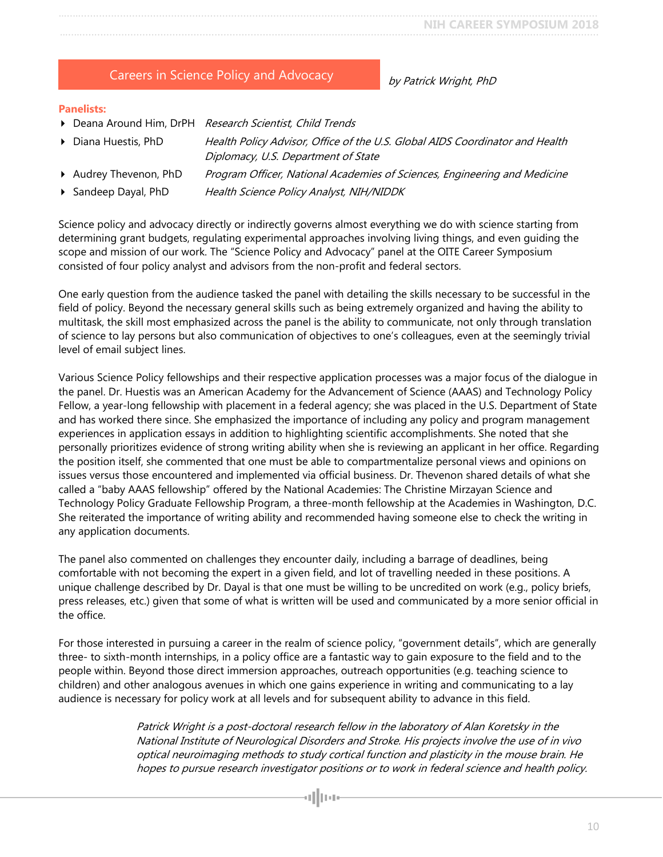|  | <b>Careers in Science Policy and Advocacy</b> |
|--|-----------------------------------------------|
|--|-----------------------------------------------|

by Patrick Wright, PhD

#### <span id="page-9-0"></span>**Panelists:**

- Deana Around Him, DrPH Research Scientist, Child Trends
- 

Diana Huestis, PhD Health Policy Advisor, Office of the U.S. Global AIDS Coordinator and Health Diplomacy, U.S. Department of State

- Audrey Thevenon, PhD Program Officer, National Academies of Sciences, Engineering and Medicine
- Sandeep Dayal, PhD Health Science Policy Analyst, NIH/NIDDK

Science policy and advocacy directly or indirectly governs almost everything we do with science starting from determining grant budgets, regulating experimental approaches involving living things, and even guiding the scope and mission of our work. The "Science Policy and Advocacy" panel at the OITE Career Symposium consisted of four policy analyst and advisors from the non-profit and federal sectors.

One early question from the audience tasked the panel with detailing the skills necessary to be successful in the field of policy. Beyond the necessary general skills such as being extremely organized and having the ability to multitask, the skill most emphasized across the panel is the ability to communicate, not only through translation of science to lay persons but also communication of objectives to one's colleagues, even at the seemingly trivial level of email subject lines.

Various Science Policy fellowships and their respective application processes was a major focus of the dialogue in the panel. Dr. Huestis was an American Academy for the Advancement of Science (AAAS) and Technology Policy Fellow, a year-long fellowship with placement in a federal agency; she was placed in the U.S. Department of State and has worked there since. She emphasized the importance of including any policy and program management experiences in application essays in addition to highlighting scientific accomplishments. She noted that she personally prioritizes evidence of strong writing ability when she is reviewing an applicant in her office. Regarding the position itself, she commented that one must be able to compartmentalize personal views and opinions on issues versus those encountered and implemented via official business. Dr. Thevenon shared details of what she called a "baby AAAS fellowship" offered by the National Academies: The Christine Mirzayan Science and Technology Policy Graduate Fellowship Program, a three-month fellowship at the Academies in Washington, D.C. She reiterated the importance of writing ability and recommended having someone else to check the writing in any application documents.

The panel also commented on challenges they encounter daily, including a barrage of deadlines, being comfortable with not becoming the expert in a given field, and lot of travelling needed in these positions. A unique challenge described by Dr. Dayal is that one must be willing to be uncredited on work (e.g., policy briefs, press releases, etc.) given that some of what is written will be used and communicated by a more senior official in the office.

For those interested in pursuing a career in the realm of science policy, "government details", which are generally three- to sixth-month internships, in a policy office are a fantastic way to gain exposure to the field and to the people within. Beyond those direct immersion approaches, outreach opportunities (e.g. teaching science to children) and other analogous avenues in which one gains experience in writing and communicating to a lay audience is necessary for policy work at all levels and for subsequent ability to advance in this field.

> Patrick Wright is a post-doctoral research fellow in the laboratory of Alan Koretsky in the National Institute of Neurological Disorders and Stroke. His projects involve the use of in vivo optical neuroimaging methods to study cortical function and plasticity in the mouse brain. He hopes to pursue research investigator positions or to work in federal science and health policy.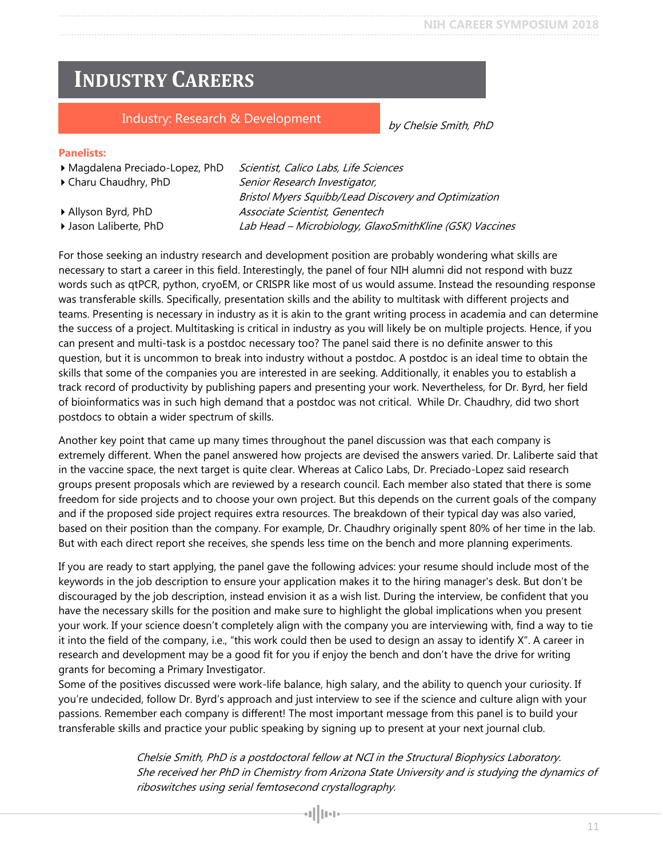by Chelsie Smith, PhD

# <span id="page-10-0"></span>**INDUSTRY CAREERS**

### Industry: Research & Development

#### <span id="page-10-1"></span>**Panelists:**

▶ Magdalena Preciado-Lopez, PhD Scientist, Calico Labs, Life Sciences ▶ Charu Chaudhry, PhD Senior Research Investigator, Bristol Myers Squibb/Lead Discovery and Optimization Allyson Byrd, PhD Associate Scientist, Genentech ▶ Jason Laliberte, PhD Lab Head – Microbiology, GlaxoSmithKline (GSK) Vaccines

For those seeking an industry research and development position are probably wondering what skills are necessary to start a career in this field. Interestingly, the panel of four NIH alumni did not respond with buzz words such as qtPCR, python, cryoEM, or CRISPR like most of us would assume. Instead the resounding response was transferable skills. Specifically, presentation skills and the ability to multitask with different projects and teams. Presenting is necessary in industry as it is akin to the grant writing process in academia and can determine the success of a project. Multitasking is critical in industry as you will likely be on multiple projects. Hence, if you can present and multi-task is a postdoc necessary too? The panel said there is no definite answer to this question, but it is uncommon to break into industry without a postdoc. A postdoc is an ideal time to obtain the skills that some of the companies you are interested in are seeking. Additionally, it enables you to establish a track record of productivity by publishing papers and presenting your work. Nevertheless, for Dr. Byrd, her field of bioinformatics was in such high demand that a postdoc was not critical. While Dr. Chaudhry, did two short postdocs to obtain a wider spectrum of skills.

Another key point that came up many times throughout the panel discussion was that each company is extremely different. When the panel answered how projects are devised the answers varied. Dr. Laliberte said that in the vaccine space, the next target is quite clear. Whereas at Calico Labs, Dr. Preciado-Lopez said research groups present proposals which are reviewed by a research council. Each member also stated that there is some freedom for side projects and to choose your own project. But this depends on the current goals of the company and if the proposed side project requires extra resources. The breakdown of their typical day was also varied, based on their position than the company. For example, Dr. Chaudhry originally spent 80% of her time in the lab. But with each direct report she receives, she spends less time on the bench and more planning experiments.

If you are ready to start applying, the panel gave the following advices: your resume should include most of the keywords in the job description to ensure your application makes it to the hiring manager's desk. But don't be discouraged by the job description, instead envision it as a wish list. During the interview, be confident that you have the necessary skills for the position and make sure to highlight the global implications when you present your work. If your science doesn't completely align with the company you are interviewing with, find a way to tie it into the field of the company, i.e., "this work could then be used to design an assay to identify X". A career in research and development may be a good fit for you if enjoy the bench and don't have the drive for writing grants for becoming a Primary Investigator.

Some of the positives discussed were work-life balance, high salary, and the ability to quench your curiosity. If you're undecided, follow Dr. Byrd's approach and just interview to see if the science and culture align with your passions. Remember each company is different! The most important message from this panel is to build your transferable skills and practice your public speaking by signing up to present at your next journal club.

> Chelsie Smith, PhD is a postdoctoral fellow at NCI in the Structural Biophysics Laboratory. She received her PhD in Chemistry from Arizona State University and is studying the dynamics of riboswitches using serial femtosecond crystallography.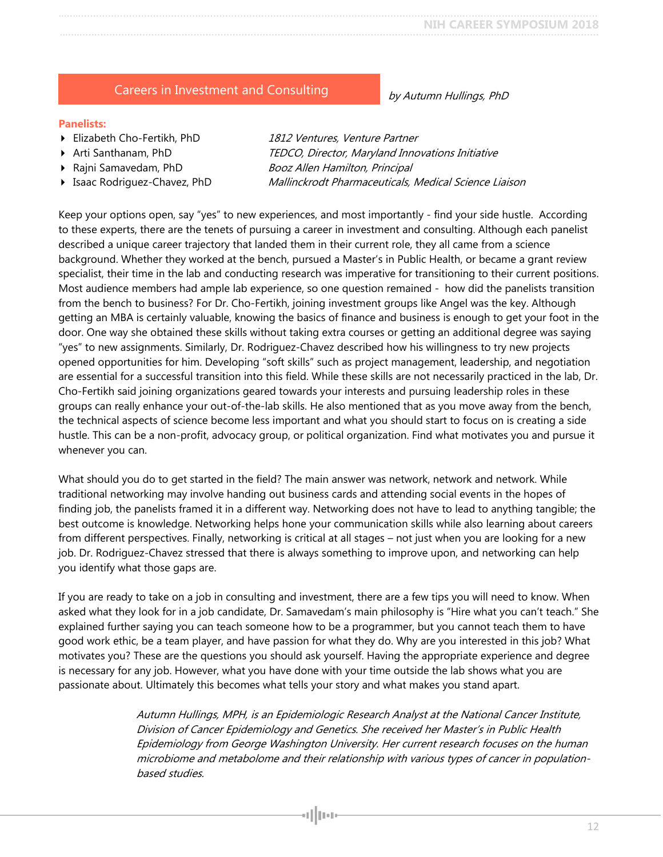## Careers in Investment and Consulting

#### <span id="page-11-0"></span>**Panelists:**

- Elizabeth Cho-Fertikh, PhD 1812 Ventures, Venture Partner
- 
- 
- 

Arti Santhanam, PhD TEDCO, Director, Maryland Innovations Initiative ▶ Rajni Samavedam, PhD Booz Allen Hamilton, Principal **Isaac Rodriguez-Chavez, PhD** Mallinckrodt Pharmaceuticals, Medical Science Liaison

Keep your options open, say "yes" to new experiences, and most importantly - find your side hustle. According to these experts, there are the tenets of pursuing a career in investment and consulting. Although each panelist described a unique career trajectory that landed them in their current role, they all came from a science background. Whether they worked at the bench, pursued a Master's in Public Health, or became a grant review specialist, their time in the lab and conducting research was imperative for transitioning to their current positions. Most audience members had ample lab experience, so one question remained - how did the panelists transition from the bench to business? For Dr. Cho-Fertikh, joining investment groups like Angel was the key. Although getting an MBA is certainly valuable, knowing the basics of finance and business is enough to get your foot in the door. One way she obtained these skills without taking extra courses or getting an additional degree was saying "yes" to new assignments. Similarly, Dr. Rodriguez-Chavez described how his willingness to try new projects opened opportunities for him. Developing "soft skills" such as project management, leadership, and negotiation are essential for a successful transition into this field. While these skills are not necessarily practiced in the lab, Dr. Cho-Fertikh said joining organizations geared towards your interests and pursuing leadership roles in these groups can really enhance your out-of-the-lab skills. He also mentioned that as you move away from the bench, the technical aspects of science become less important and what you should start to focus on is creating a side hustle. This can be a non-profit, advocacy group, or political organization. Find what motivates you and pursue it whenever you can.

What should you do to get started in the field? The main answer was network, network and network. While traditional networking may involve handing out business cards and attending social events in the hopes of finding job, the panelists framed it in a different way. Networking does not have to lead to anything tangible; the best outcome is knowledge. Networking helps hone your communication skills while also learning about careers from different perspectives. Finally, networking is critical at all stages – not just when you are looking for a new job. Dr. Rodriguez-Chavez stressed that there is always something to improve upon, and networking can help you identify what those gaps are.

If you are ready to take on a job in consulting and investment, there are a few tips you will need to know. When asked what they look for in a job candidate, Dr. Samavedam's main philosophy is "Hire what you can't teach." She explained further saying you can teach someone how to be a programmer, but you cannot teach them to have good work ethic, be a team player, and have passion for what they do. Why are you interested in this job? What motivates you? These are the questions you should ask yourself. Having the appropriate experience and degree is necessary for any job. However, what you have done with your time outside the lab shows what you are passionate about. Ultimately this becomes what tells your story and what makes you stand apart.

aj || par

Autumn Hullings, MPH, is an Epidemiologic Research Analyst at the National Cancer Institute, Division of Cancer Epidemiology and Genetics. She received her Master's in Public Health Epidemiology from George Washington University. Her current research focuses on the human microbiome and metabolome and their relationship with various types of cancer in populationbased studies.

by Autumn Hullings, PhD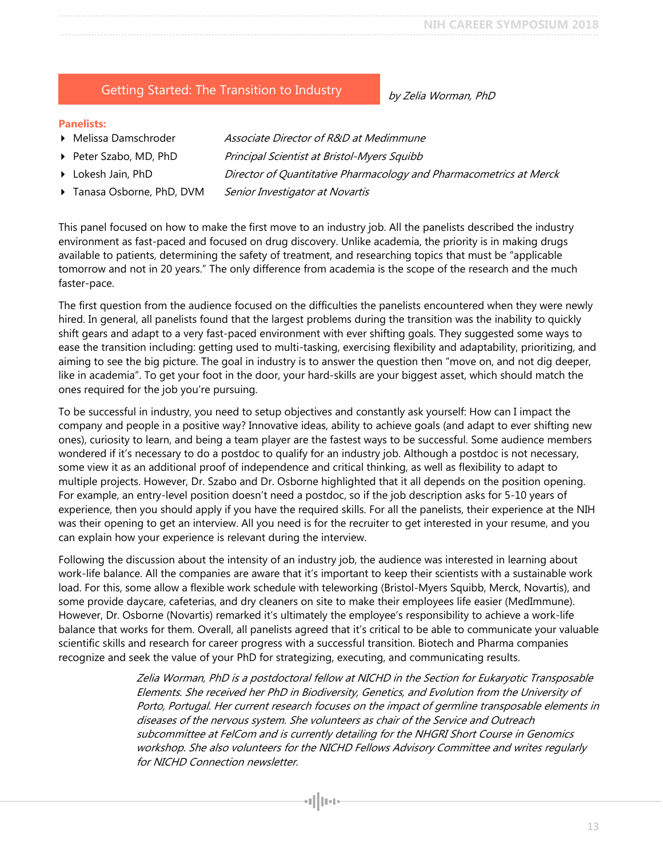### <span id="page-12-0"></span>Getting Started: The Transition to Industry

#### **Panelists:**

- **Melissa Damschroder** Associate Director of R&D at Medimmune
- Peter Szabo, MD, PhD Principal Scientist at Bristol-Myers Squibb
- **Lokesh Jain, PhD** Director of Quantitative Pharmacology and Pharmacometrics at Merck
- Tanasa Osborne, PhD, DVM Senior Investigator at Novartis

This panel focused on how to make the first move to an industry job. All the panelists described the industry environment as fast-paced and focused on drug discovery. Unlike academia, the priority is in making drugs available to patients, determining the safety of treatment, and researching topics that must be "applicable tomorrow and not in 20 years." The only difference from academia is the scope of the research and the much faster-pace.

The first question from the audience focused on the difficulties the panelists encountered when they were newly hired. In general, all panelists found that the largest problems during the transition was the inability to quickly shift gears and adapt to a very fast-paced environment with ever shifting goals. They suggested some ways to ease the transition including: getting used to multi-tasking, exercising flexibility and adaptability, prioritizing, and aiming to see the big picture. The goal in industry is to answer the question then "move on, and not dig deeper, like in academia". To get your foot in the door, your hard-skills are your biggest asset, which should match the ones required for the job you're pursuing.

To be successful in industry, you need to setup objectives and constantly ask yourself: How can I impact the company and people in a positive way? Innovative ideas, ability to achieve goals (and adapt to ever shifting new ones), curiosity to learn, and being a team player are the fastest ways to be successful. Some audience members wondered if it's necessary to do a postdoc to qualify for an industry job. Although a postdoc is not necessary, some view it as an additional proof of independence and critical thinking, as well as flexibility to adapt to multiple projects. However, Dr. Szabo and Dr. Osborne highlighted that it all depends on the position opening. For example, an entry-level position doesn't need a postdoc, so if the job description asks for 5-10 years of experience, then you should apply if you have the required skills. For all the panelists, their experience at the NIH was their opening to get an interview. All you need is for the recruiter to get interested in your resume, and you can explain how your experience is relevant during the interview.

Following the discussion about the intensity of an industry job, the audience was interested in learning about work-life balance. All the companies are aware that it's important to keep their scientists with a sustainable work load. For this, some allow a flexible work schedule with teleworking (Bristol-Myers Squibb, Merck, Novartis), and some provide daycare, cafeterias, and dry cleaners on site to make their employees life easier (MedImmune). However, Dr. Osborne (Novartis) remarked it's ultimately the employee's responsibility to achieve a work-life balance that works for them. Overall, all panelists agreed that it's critical to be able to communicate your valuable scientific skills and research for career progress with a successful transition. Biotech and Pharma companies recognize and seek the value of your PhD for strategizing, executing, and communicating results.

allua

Zelia Worman, PhD is a postdoctoral fellow at NICHD in the Section for Eukaryotic Transposable Elements. She received her PhD in Biodiversity, Genetics, and Evolution from the University of Porto, Portugal. Her current research focuses on the impact of germline transposable elements in diseases of the nervous system. She volunteers as chair of the Service and Outreach subcommittee at FelCom and is currently detailing for the NHGRI Short Course in Genomics workshop. She also volunteers for the NICHD Fellows Advisory Committee and writes regularly for NICHD Connection newsletter.

by Zelia Worman, PhD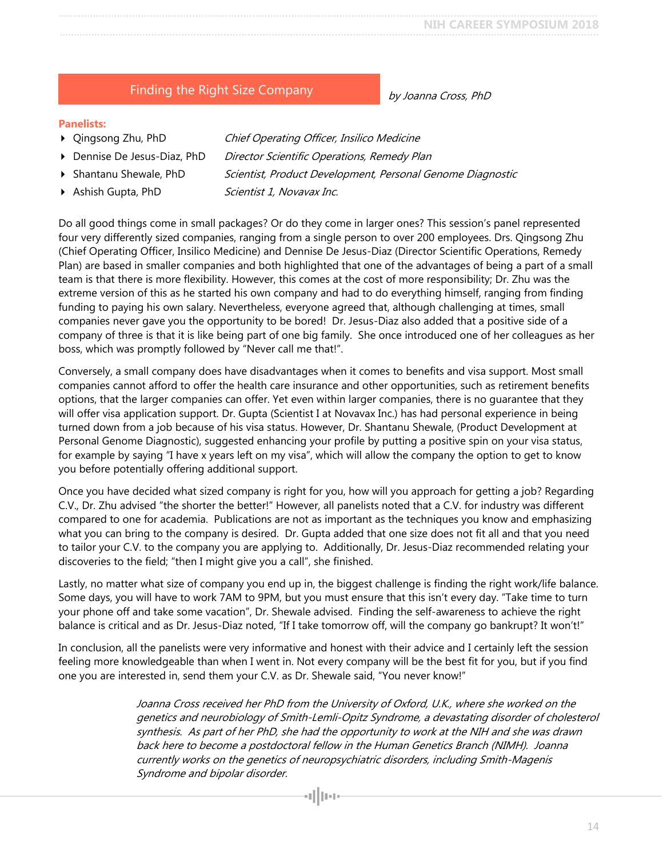14

**NIH CAREER SYMPOSIUM 2018** …..…............................................................................................................................................................................

## Finding the Right Size Company

#### <span id="page-13-0"></span>**Panelists:**

- ▶ Qingsong Zhu, PhD Chief Operating Officer, Insilico Medicine
- Dennise De Jesus-Diaz, PhD Director Scientific Operations, Remedy Plan
	-
- Ashish Gupta, PhD Scientist 1, Novavax Inc.

Shantanu Shewale, PhD Scientist, Product Development, Personal Genome Diagnostic

Do all good things come in small packages? Or do they come in larger ones? This session's panel represented four very differently sized companies, ranging from a single person to over 200 employees. Drs. Qingsong Zhu (Chief Operating Officer, Insilico Medicine) and Dennise De Jesus-Diaz (Director Scientific Operations, Remedy Plan) are based in smaller companies and both highlighted that one of the advantages of being a part of a small team is that there is more flexibility. However, this comes at the cost of more responsibility; Dr. Zhu was the extreme version of this as he started his own company and had to do everything himself, ranging from finding funding to paying his own salary. Nevertheless, everyone agreed that, although challenging at times, small companies never gave you the opportunity to be bored! Dr. Jesus-Diaz also added that a positive side of a company of three is that it is like being part of one big family. She once introduced one of her colleagues as her boss, which was promptly followed by "Never call me that!".

Conversely, a small company does have disadvantages when it comes to benefits and visa support. Most small companies cannot afford to offer the health care insurance and other opportunities, such as retirement benefits options, that the larger companies can offer. Yet even within larger companies, there is no guarantee that they will offer visa application support. Dr. Gupta (Scientist I at Novavax Inc.) has had personal experience in being turned down from a job because of his visa status. However, Dr. Shantanu Shewale, (Product Development at Personal Genome Diagnostic), suggested enhancing your profile by putting a positive spin on your visa status, for example by saying "I have x years left on my visa", which will allow the company the option to get to know you before potentially offering additional support.

Once you have decided what sized company is right for you, how will you approach for getting a job? Regarding C.V., Dr. Zhu advised "the shorter the better!" However, all panelists noted that a C.V. for industry was different compared to one for academia. Publications are not as important as the techniques you know and emphasizing what you can bring to the company is desired. Dr. Gupta added that one size does not fit all and that you need to tailor your C.V. to the company you are applying to. Additionally, Dr. Jesus-Diaz recommended relating your discoveries to the field; "then I might give you a call", she finished.

Lastly, no matter what size of company you end up in, the biggest challenge is finding the right work/life balance. Some days, you will have to work 7AM to 9PM, but you must ensure that this isn't every day. "Take time to turn your phone off and take some vacation", Dr. Shewale advised. Finding the self-awareness to achieve the right balance is critical and as Dr. Jesus-Diaz noted, "If I take tomorrow off, will the company go bankrupt? It won't!"

In conclusion, all the panelists were very informative and honest with their advice and I certainly left the session feeling more knowledgeable than when I went in. Not every company will be the best fit for you, but if you find one you are interested in, send them your C.V. as Dr. Shewale said, "You never know!"

> Joanna Cross received her PhD from the University of Oxford, U.K., where she worked on the genetics and neurobiology of Smith-Lemli-Opitz Syndrome, a devastating disorder of cholesterol synthesis. As part of her PhD, she had the opportunity to work at the NIH and she was drawn back here to become a postdoctoral fellow in the Human Genetics Branch (NIMH). Joanna currently works on the genetics of neuropsychiatric disorders, including Smith-Magenis Syndrome and bipolar disorder.

> > allua

by Joanna Cross, PhD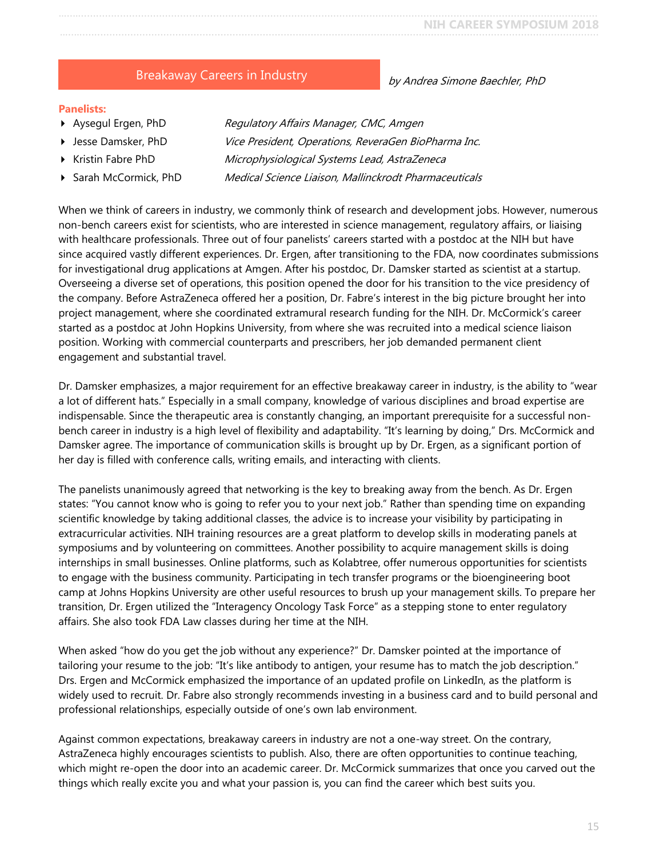### Breakaway Careers in Industry

#### <span id="page-14-0"></span>**Panelists:**

- 
- 
- 
- 

Aysegul Ergen, PhD Regulatory Affairs Manager, CMC, Amgen ▶ Jesse Damsker, PhD Vice President, Operations, ReveraGen BioPharma Inc. Kristin Fabre PhD Microphysiological Systems Lead, AstraZeneca ▶ Sarah McCormick, PhD Medical Science Liaison, Mallinckrodt Pharmaceuticals

When we think of careers in industry, we commonly think of research and development jobs. However, numerous non-bench careers exist for scientists, who are interested in science management, regulatory affairs, or liaising with healthcare professionals. Three out of four panelists' careers started with a postdoc at the NIH but have since acquired vastly different experiences. Dr. Ergen, after transitioning to the FDA, now coordinates submissions for investigational drug applications at Amgen. After his postdoc, Dr. Damsker started as scientist at a startup. Overseeing a diverse set of operations, this position opened the door for his transition to the vice presidency of the company. Before AstraZeneca offered her a position, Dr. Fabre's interest in the big picture brought her into project management, where she coordinated extramural research funding for the NIH. Dr. McCormick's career started as a postdoc at John Hopkins University, from where she was recruited into a medical science liaison position. Working with commercial counterparts and prescribers, her job demanded permanent client engagement and substantial travel.

Dr. Damsker emphasizes, a major requirement for an effective breakaway career in industry, is the ability to "wear a lot of different hats." Especially in a small company, knowledge of various disciplines and broad expertise are indispensable. Since the therapeutic area is constantly changing, an important prerequisite for a successful nonbench career in industry is a high level of flexibility and adaptability. "It's learning by doing," Drs. McCormick and Damsker agree. The importance of communication skills is brought up by Dr. Ergen, as a significant portion of her day is filled with conference calls, writing emails, and interacting with clients.

The panelists unanimously agreed that networking is the key to breaking away from the bench. As Dr. Ergen states: "You cannot know who is going to refer you to your next job." Rather than spending time on expanding scientific knowledge by taking additional classes, the advice is to increase your visibility by participating in extracurricular activities. NIH training resources are a great platform to develop skills in moderating panels at symposiums and by volunteering on committees. Another possibility to acquire management skills is doing internships in small businesses. Online platforms, such as Kolabtree, offer numerous opportunities for scientists to engage with the business community. Participating in tech transfer programs or the bioengineering boot camp at Johns Hopkins University are other useful resources to brush up your management skills. To prepare her transition, Dr. Ergen utilized the "Interagency Oncology Task Force" as a stepping stone to enter regulatory affairs. She also took FDA Law classes during her time at the NIH.

When asked "how do you get the job without any experience?" Dr. Damsker pointed at the importance of tailoring your resume to the job: "It's like antibody to antigen, your resume has to match the job description." Drs. Ergen and McCormick emphasized the importance of an updated profile on LinkedIn, as the platform is widely used to recruit. Dr. Fabre also strongly recommends investing in a business card and to build personal and professional relationships, especially outside of one's own lab environment.

Against common expectations, breakaway careers in industry are not a one-way street. On the contrary, AstraZeneca highly encourages scientists to publish. Also, there are often opportunities to continue teaching, which might re-open the door into an academic career. Dr. McCormick summarizes that once you carved out the things which really excite you and what your passion is, you can find the career which best suits you.

#### by Andrea Simone Baechler, PhD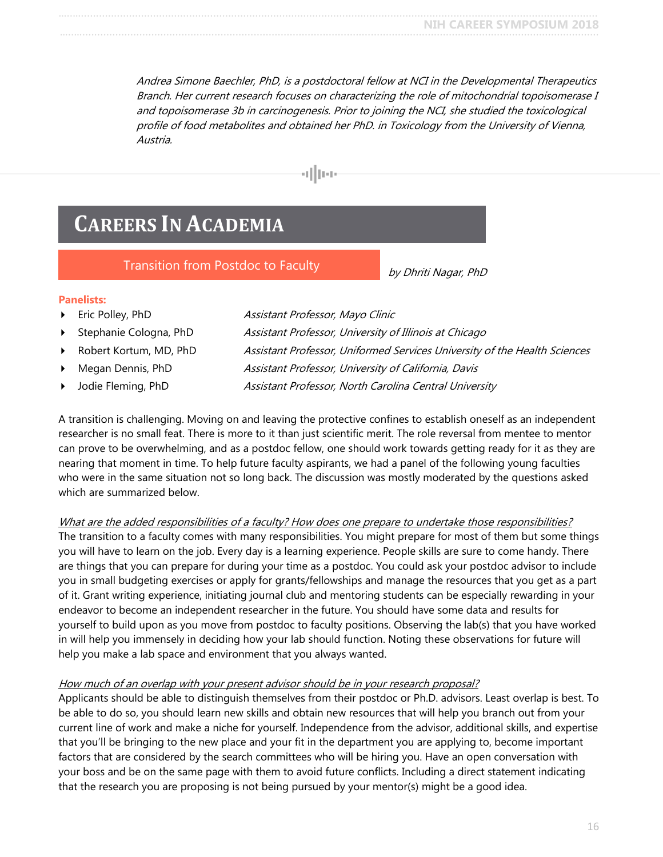Andrea Simone Baechler, PhD, is a postdoctoral fellow at NCI in the Developmental Therapeutics Branch. Her current research focuses on characterizing the role of mitochondrial topoisomerase I and topoisomerase 3b in carcinogenesis. Prior to joining the NCI, she studied the toxicological profile of food metabolites and obtained her PhD. in Toxicology from the University of Vienna, Austria.



# <span id="page-15-0"></span>**CAREERS IN ACADEMIA**

Transition from Postdoc to Faculty

by Dhriti Nagar, PhD

#### <span id="page-15-1"></span>**Panelists:**

- Eric Polley, PhD Assistant Professor, Mayo Clinic Stephanie Cologna, PhD Assistant Professor, University of Illinois at Chicago
	-
	-
- Robert Kortum, MD, PhD Assistant Professor, Uniformed Services University of the Health Sciences Megan Dennis, PhD Assistant Professor, University of California, Davis Jodie Fleming, PhD **Assistant Professor, North Carolina Central University**

A transition is challenging. Moving on and leaving the protective confines to establish oneself as an independent researcher is no small feat. There is more to it than just scientific merit. The role reversal from mentee to mentor can prove to be overwhelming, and as a postdoc fellow, one should work towards getting ready for it as they are nearing that moment in time. To help future faculty aspirants, we had a panel of the following young faculties who were in the same situation not so long back. The discussion was mostly moderated by the questions asked which are summarized below.

#### What are the added responsibilities of a faculty? How does one prepare to undertake those responsibilities?

The transition to a faculty comes with many responsibilities. You might prepare for most of them but some things you will have to learn on the job. Every day is a learning experience. People skills are sure to come handy. There are things that you can prepare for during your time as a postdoc. You could ask your postdoc advisor to include you in small budgeting exercises or apply for grants/fellowships and manage the resources that you get as a part of it. Grant writing experience, initiating journal club and mentoring students can be especially rewarding in your endeavor to become an independent researcher in the future. You should have some data and results for yourself to build upon as you move from postdoc to faculty positions. Observing the lab(s) that you have worked in will help you immensely in deciding how your lab should function. Noting these observations for future will help you make a lab space and environment that you always wanted.

#### How much of an overlap with your present advisor should be in your research proposal?

Applicants should be able to distinguish themselves from their postdoc or Ph.D. advisors. Least overlap is best. To be able to do so, you should learn new skills and obtain new resources that will help you branch out from your current line of work and make a niche for yourself. Independence from the advisor, additional skills, and expertise that you'll be bringing to the new place and your fit in the department you are applying to, become important factors that are considered by the search committees who will be hiring you. Have an open conversation with your boss and be on the same page with them to avoid future conflicts. Including a direct statement indicating that the research you are proposing is not being pursued by your mentor(s) might be a good idea.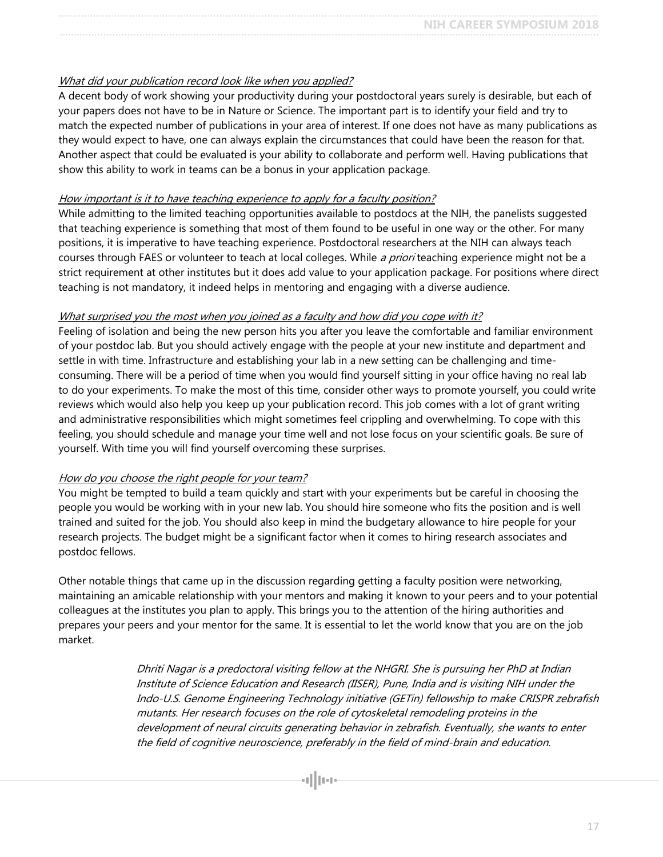#### What did your publication record look like when you applied?

A decent body of work showing your productivity during your postdoctoral years surely is desirable, but each of your papers does not have to be in Nature or Science. The important part is to identify your field and try to match the expected number of publications in your area of interest. If one does not have as many publications as they would expect to have, one can always explain the circumstances that could have been the reason for that. Another aspect that could be evaluated is your ability to collaborate and perform well. Having publications that show this ability to work in teams can be a bonus in your application package.

#### How important is it to have teaching experience to apply for a faculty position?

While admitting to the limited teaching opportunities available to postdocs at the NIH, the panelists suggested that teaching experience is something that most of them found to be useful in one way or the other. For many positions, it is imperative to have teaching experience. Postdoctoral researchers at the NIH can always teach courses through FAES or volunteer to teach at local colleges. While a priori teaching experience might not be a strict requirement at other institutes but it does add value to your application package. For positions where direct teaching is not mandatory, it indeed helps in mentoring and engaging with a diverse audience.

#### What surprised you the most when you joined as a faculty and how did you cope with it?

Feeling of isolation and being the new person hits you after you leave the comfortable and familiar environment of your postdoc lab. But you should actively engage with the people at your new institute and department and settle in with time. Infrastructure and establishing your lab in a new setting can be challenging and timeconsuming. There will be a period of time when you would find yourself sitting in your office having no real lab to do your experiments. To make the most of this time, consider other ways to promote yourself, you could write reviews which would also help you keep up your publication record. This job comes with a lot of grant writing and administrative responsibilities which might sometimes feel crippling and overwhelming. To cope with this feeling, you should schedule and manage your time well and not lose focus on your scientific goals. Be sure of yourself. With time you will find yourself overcoming these surprises.

#### How do you choose the right people for your team?

You might be tempted to build a team quickly and start with your experiments but be careful in choosing the people you would be working with in your new lab. You should hire someone who fits the position and is well trained and suited for the job. You should also keep in mind the budgetary allowance to hire people for your research projects. The budget might be a significant factor when it comes to hiring research associates and postdoc fellows.

Other notable things that came up in the discussion regarding getting a faculty position were networking, maintaining an amicable relationship with your mentors and making it known to your peers and to your potential colleagues at the institutes you plan to apply. This brings you to the attention of the hiring authorities and prepares your peers and your mentor for the same. It is essential to let the world know that you are on the job market.

> Dhriti Nagar is a predoctoral visiting fellow at the NHGRI. She is pursuing her PhD at Indian Institute of Science Education and Research (IISER), Pune, India and is visiting NIH under the Indo-U.S. Genome Engineering Technology initiative (GETin) fellowship to make CRISPR zebrafish mutants. Her research focuses on the role of cytoskeletal remodeling proteins in the development of neural circuits generating behavior in zebrafish. Eventually, she wants to enter the field of cognitive neuroscience, preferably in the field of mind-brain and education.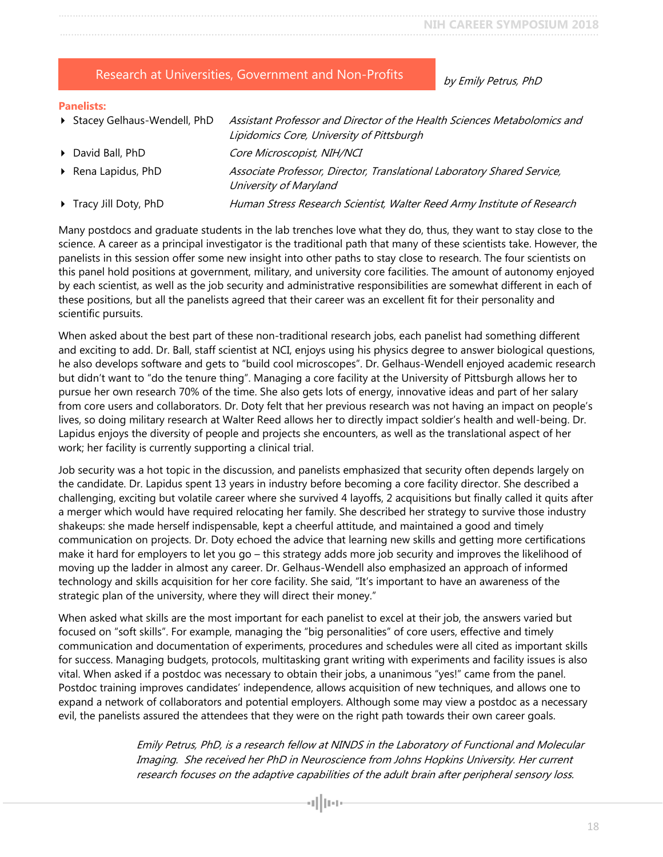#### <span id="page-17-0"></span>Research at Universities, Government and Non-Profits

by Emily Petrus, PhD

#### **Panelists:**

- Stacey Gelhaus-Wendell, PhD Assistant Professor and Director of the Health Sciences Metabolomics and Lipidomics Core, University of Pittsburgh David Ball, PhD Core Microscopist, NIH/NCI Rena Lapidus, PhD Associate Professor, Director, Translational Laboratory Shared Service, University of Maryland
- Tracy Jill Doty, PhD Human Stress Research Scientist, Walter Reed Army Institute of Research

Many postdocs and graduate students in the lab trenches love what they do, thus, they want to stay close to the science. A career as a principal investigator is the traditional path that many of these scientists take. However, the panelists in this session offer some new insight into other paths to stay close to research. The four scientists on this panel hold positions at government, military, and university core facilities. The amount of autonomy enjoyed by each scientist, as well as the job security and administrative responsibilities are somewhat different in each of these positions, but all the panelists agreed that their career was an excellent fit for their personality and scientific pursuits.

When asked about the best part of these non-traditional research jobs, each panelist had something different and exciting to add. Dr. Ball, staff scientist at NCI, enjoys using his physics degree to answer biological questions, he also develops software and gets to "build cool microscopes". Dr. Gelhaus-Wendell enjoyed academic research but didn't want to "do the tenure thing". Managing a core facility at the University of Pittsburgh allows her to pursue her own research 70% of the time. She also gets lots of energy, innovative ideas and part of her salary from core users and collaborators. Dr. Doty felt that her previous research was not having an impact on people's lives, so doing military research at Walter Reed allows her to directly impact soldier's health and well-being. Dr. Lapidus enjoys the diversity of people and projects she encounters, as well as the translational aspect of her work; her facility is currently supporting a clinical trial.

Job security was a hot topic in the discussion, and panelists emphasized that security often depends largely on the candidate. Dr. Lapidus spent 13 years in industry before becoming a core facility director. She described a challenging, exciting but volatile career where she survived 4 layoffs, 2 acquisitions but finally called it quits after a merger which would have required relocating her family. She described her strategy to survive those industry shakeups: she made herself indispensable, kept a cheerful attitude, and maintained a good and timely communication on projects. Dr. Doty echoed the advice that learning new skills and getting more certifications make it hard for employers to let you go – this strategy adds more job security and improves the likelihood of moving up the ladder in almost any career. Dr. Gelhaus-Wendell also emphasized an approach of informed technology and skills acquisition for her core facility. She said, "It's important to have an awareness of the strategic plan of the university, where they will direct their money."

When asked what skills are the most important for each panelist to excel at their job, the answers varied but focused on "soft skills". For example, managing the "big personalities" of core users, effective and timely communication and documentation of experiments, procedures and schedules were all cited as important skills for success. Managing budgets, protocols, multitasking grant writing with experiments and facility issues is also vital. When asked if a postdoc was necessary to obtain their jobs, a unanimous "yes!" came from the panel. Postdoc training improves candidates' independence, allows acquisition of new techniques, and allows one to expand a network of collaborators and potential employers. Although some may view a postdoc as a necessary evil, the panelists assured the attendees that they were on the right path towards their own career goals.

> Emily Petrus, PhD, is a research fellow at NINDS in the Laboratory of Functional and Molecular Imaging. She received her PhD in Neuroscience from Johns Hopkins University. Her current research focuses on the adaptive capabilities of the adult brain after peripheral sensory loss.

> > allus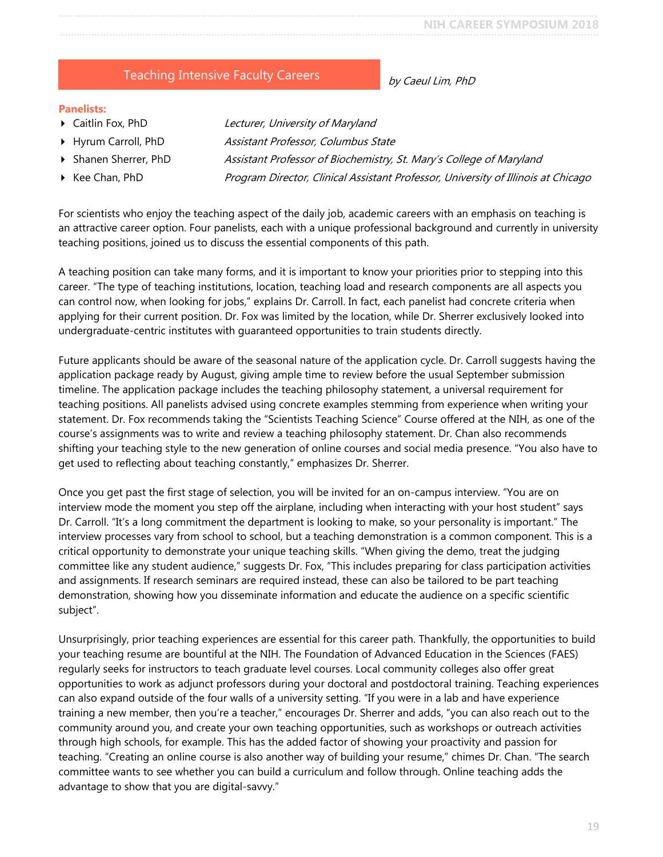### Teaching Intensive Faculty Careers

by Caeul Lim, PhD

#### <span id="page-18-0"></span>**Panelists:**

- Caitlin Fox, PhD Lecturer, University of Maryland
- ▶ Hyrum Carroll, PhD Assistant Professor, Columbus State
- 
- 

- 
- **Shanen Sherrer, PhD** Assistant Professor of Biochemistry, St. Mary's College of Maryland
- Kee Chan, PhD **Program Director, Clinical Assistant Professor**, University of Illinois at Chicago

For scientists who enjoy the teaching aspect of the daily job, academic careers with an emphasis on teaching is an attractive career option. Four panelists, each with a unique professional background and currently in university teaching positions, joined us to discuss the essential components of this path.

A teaching position can take many forms, and it is important to know your priorities prior to stepping into this career. "The type of teaching institutions, location, teaching load and research components are all aspects you can control now, when looking for jobs," explains Dr. Carroll. In fact, each panelist had concrete criteria when applying for their current position. Dr. Fox was limited by the location, while Dr. Sherrer exclusively looked into undergraduate-centric institutes with guaranteed opportunities to train students directly.

Future applicants should be aware of the seasonal nature of the application cycle. Dr. Carroll suggests having the application package ready by August, giving ample time to review before the usual September submission timeline. The application package includes the teaching philosophy statement, a universal requirement for teaching positions. All panelists advised using concrete examples stemming from experience when writing your statement. Dr. Fox recommends taking the "Scientists Teaching Science" Course offered at the NIH, as one of the course's assignments was to write and review a teaching philosophy statement. Dr. Chan also recommends shifting your teaching style to the new generation of online courses and social media presence. "You also have to get used to reflecting about teaching constantly," emphasizes Dr. Sherrer.

Once you get past the first stage of selection, you will be invited for an on-campus interview. "You are on interview mode the moment you step off the airplane, including when interacting with your host student" says Dr. Carroll. "It's a long commitment the department is looking to make, so your personality is important." The interview processes vary from school to school, but a teaching demonstration is a common component. This is a critical opportunity to demonstrate your unique teaching skills. "When giving the demo, treat the judging committee like any student audience," suggests Dr. Fox, "This includes preparing for class participation activities and assignments. If research seminars are required instead, these can also be tailored to be part teaching demonstration, showing how you disseminate information and educate the audience on a specific scientific subject".

Unsurprisingly, prior teaching experiences are essential for this career path. Thankfully, the opportunities to build your teaching resume are bountiful at the NIH. The Foundation of Advanced Education in the Sciences (FAES) regularly seeks for instructors to teach graduate level courses. Local community colleges also offer great opportunities to work as adjunct professors during your doctoral and postdoctoral training. Teaching experiences can also expand outside of the four walls of a university setting. "If you were in a lab and have experience training a new member, then you're a teacher," encourages Dr. Sherrer and adds, "you can also reach out to the community around you, and create your own teaching opportunities, such as workshops or outreach activities through high schools, for example. This has the added factor of showing your proactivity and passion for teaching. "Creating an online course is also another way of building your resume," chimes Dr. Chan. "The search committee wants to see whether you can build a curriculum and follow through. Online teaching adds the advantage to show that you are digital-savvy."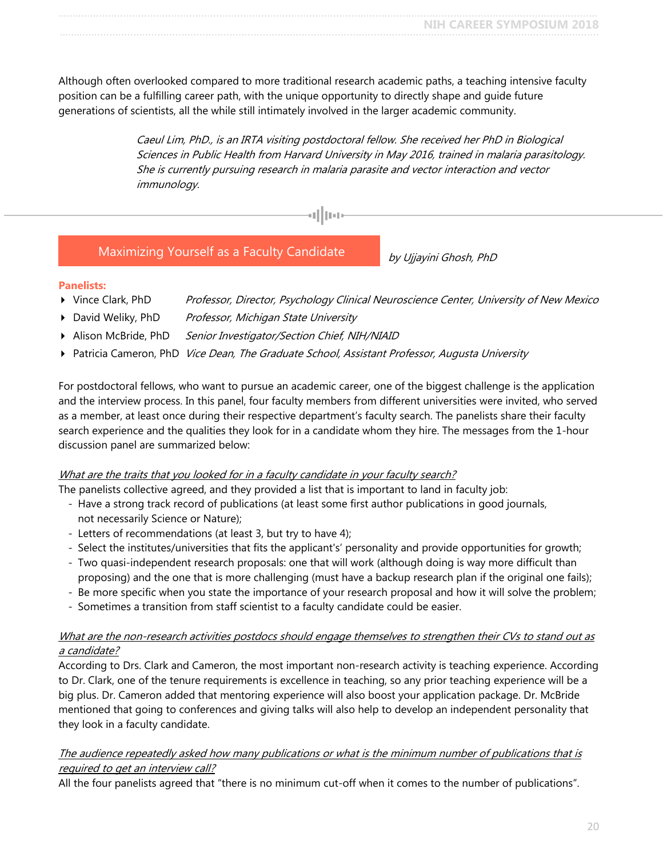Although often overlooked compared to more traditional research academic paths, a teaching intensive faculty position can be a fulfilling career path, with the unique opportunity to directly shape and guide future generations of scientists, all the while still intimately involved in the larger academic community.

> Caeul Lim, PhD., is an IRTA visiting postdoctoral fellow. She received her PhD in Biological Sciences in Public Health from Harvard University in May 2016, trained in malaria parasitology. She is currently pursuing research in malaria parasite and vector interaction and vector immunology.

#### <span id="page-19-0"></span>Maximizing Yourself as a Faculty Candidate

by Ujjayini Ghosh, PhD

#### **Panelists:**

- Vince Clark, PhD Professor, Director, Psychology Clinical Neuroscience Center, University of New Mexico
- David Weliky, PhD Professor, Michigan State University
- Alison McBride, PhD Senior Investigator/Section Chief, NIH/NIAID
- Patricia Cameron, PhD Vice Dean, The Graduate School, Assistant Professor, Augusta University

For postdoctoral fellows, who want to pursue an academic career, one of the biggest challenge is the application and the interview process. In this panel, four faculty members from different universities were invited, who served as a member, at least once during their respective department's faculty search. The panelists share their faculty search experience and the qualities they look for in a candidate whom they hire. The messages from the 1-hour discussion panel are summarized below:

#### What are the traits that you looked for in a faculty candidate in your faculty search?

The panelists collective agreed, and they provided a list that is important to land in faculty job:

- Have a strong track record of publications (at least some first author publications in good journals, not necessarily Science or Nature);
- Letters of recommendations (at least 3, but try to have 4);
- Select the institutes/universities that fits the applicant's' personality and provide opportunities for growth;
- Two quasi-independent research proposals: one that will work (although doing is way more difficult than proposing) and the one that is more challenging (must have a backup research plan if the original one fails);
- Be more specific when you state the importance of your research proposal and how it will solve the problem;
- Sometimes a transition from staff scientist to a faculty candidate could be easier.

#### What are the non-research activities postdocs should engage themselves to strengthen their CVs to stand out as a candidate?

According to Drs. Clark and Cameron, the most important non-research activity is teaching experience. According to Dr. Clark, one of the tenure requirements is excellence in teaching, so any prior teaching experience will be a big plus. Dr. Cameron added that mentoring experience will also boost your application package. Dr. McBride mentioned that going to conferences and giving talks will also help to develop an independent personality that they look in a faculty candidate.

#### The audience repeatedly asked how many publications or what is the minimum number of publications that is required to get an interview call?

All the four panelists agreed that "there is no minimum cut-off when it comes to the number of publications".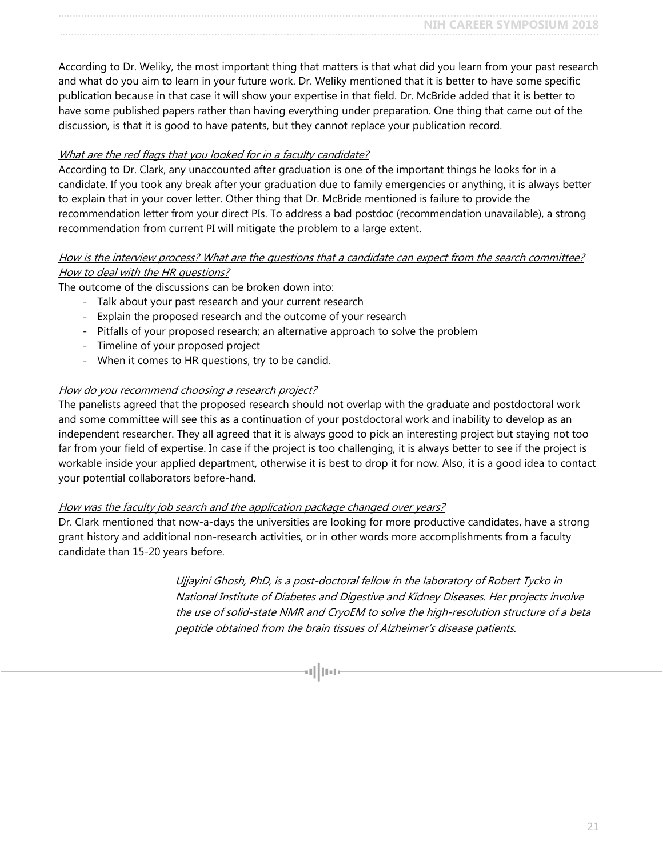According to Dr. Weliky, the most important thing that matters is that what did you learn from your past research and what do you aim to learn in your future work. Dr. Weliky mentioned that it is better to have some specific publication because in that case it will show your expertise in that field. Dr. McBride added that it is better to have some published papers rather than having everything under preparation. One thing that came out of the discussion, is that it is good to have patents, but they cannot replace your publication record.

#### What are the red flags that you looked for in a faculty candidate?

According to Dr. Clark, any unaccounted after graduation is one of the important things he looks for in a candidate. If you took any break after your graduation due to family emergencies or anything, it is always better to explain that in your cover letter. Other thing that Dr. McBride mentioned is failure to provide the recommendation letter from your direct PIs. To address a bad postdoc (recommendation unavailable), a strong recommendation from current PI will mitigate the problem to a large extent.

#### How is the interview process? What are the questions that a candidate can expect from the search committee? How to deal with the HR questions?

The outcome of the discussions can be broken down into:

- Talk about your past research and your current research
- Explain the proposed research and the outcome of your research
- Pitfalls of your proposed research; an alternative approach to solve the problem
- Timeline of your proposed project
- When it comes to HR questions, try to be candid.

#### How do you recommend choosing a research project?

The panelists agreed that the proposed research should not overlap with the graduate and postdoctoral work and some committee will see this as a continuation of your postdoctoral work and inability to develop as an independent researcher. They all agreed that it is always good to pick an interesting project but staying not too far from your field of expertise. In case if the project is too challenging, it is always better to see if the project is workable inside your applied department, otherwise it is best to drop it for now. Also, it is a good idea to contact your potential collaborators before-hand.

#### How was the faculty job search and the application package changed over years?

Dr. Clark mentioned that now-a-days the universities are looking for more productive candidates, have a strong grant history and additional non-research activities, or in other words more accomplishments from a faculty candidate than 15-20 years before.

> Ujjayini Ghosh, PhD, is a post-doctoral fellow in the laboratory of Robert Tycko in National Institute of Diabetes and Digestive and Kidney Diseases. Her projects involve the use of solid-state NMR and CryoEM to solve the high-resolution structure of a beta peptide obtained from the brain tissues of Alzheimer's disease patients.

> > d || pop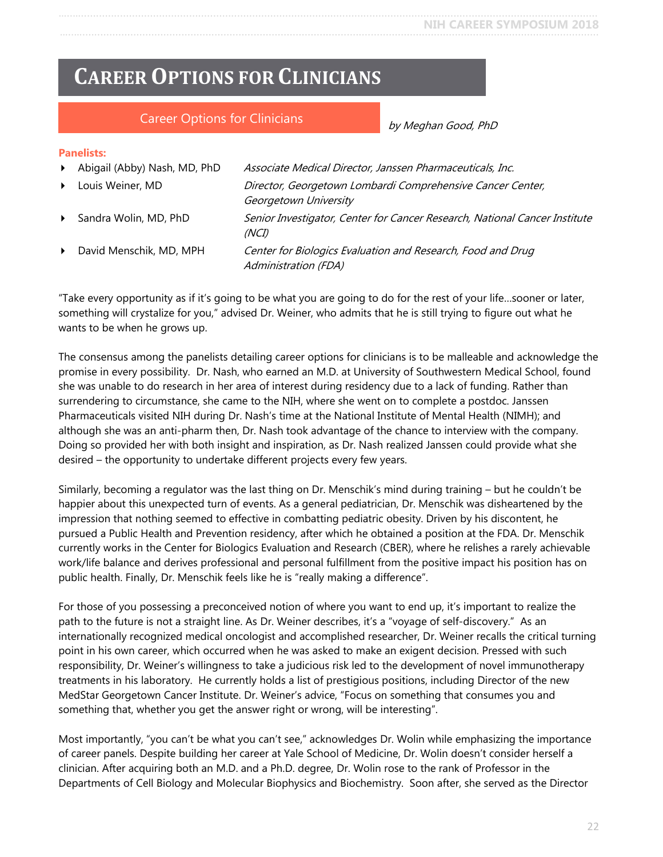# <span id="page-21-0"></span>**CAREER OPTIONS FOR CLINICIANS**

#### Career Options for Clinicians

by Meghan Good, PhD

#### **Panelists:**

| $\blacktriangleright$ | Abigail (Abby) Nash, MD, PhD | Associate Medical Director, Janssen Pharmaceuticals, Inc.                           |
|-----------------------|------------------------------|-------------------------------------------------------------------------------------|
| $\blacktriangleright$ | Louis Weiner, MD             | Director, Georgetown Lombardi Comprehensive Cancer Center,<br>Georgetown University |
| $\blacktriangleright$ | Sandra Wolin, MD, PhD        | Senior Investigator, Center for Cancer Research, National Cancer Institute<br>(NCI) |
| $\blacktriangleright$ | David Menschik, MD, MPH      | Center for Biologics Evaluation and Research, Food and Drug<br>Administration (FDA) |

"Take every opportunity as if it's going to be what you are going to do for the rest of your life…sooner or later, something will crystalize for you," advised Dr. Weiner, who admits that he is still trying to figure out what he wants to be when he grows up.

The consensus among the panelists detailing career options for clinicians is to be malleable and acknowledge the promise in every possibility. Dr. Nash, who earned an M.D. at University of Southwestern Medical School, found she was unable to do research in her area of interest during residency due to a lack of funding. Rather than surrendering to circumstance, she came to the NIH, where she went on to complete a postdoc. Janssen Pharmaceuticals visited NIH during Dr. Nash's time at the National Institute of Mental Health (NIMH); and although she was an anti-pharm then, Dr. Nash took advantage of the chance to interview with the company. Doing so provided her with both insight and inspiration, as Dr. Nash realized Janssen could provide what she desired – the opportunity to undertake different projects every few years.

Similarly, becoming a regulator was the last thing on Dr. Menschik's mind during training – but he couldn't be happier about this unexpected turn of events. As a general pediatrician, Dr. Menschik was disheartened by the impression that nothing seemed to effective in combatting pediatric obesity. Driven by his discontent, he pursued a Public Health and Prevention residency, after which he obtained a position at the FDA. Dr. Menschik currently works in the Center for Biologics Evaluation and Research (CBER), where he relishes a rarely achievable work/life balance and derives professional and personal fulfillment from the positive impact his position has on public health. Finally, Dr. Menschik feels like he is "really making a difference".

For those of you possessing a preconceived notion of where you want to end up, it's important to realize the path to the future is not a straight line. As Dr. Weiner describes, it's a "voyage of self-discovery." As an internationally recognized medical oncologist and accomplished researcher, Dr. Weiner recalls the critical turning point in his own career, which occurred when he was asked to make an exigent decision. Pressed with such responsibility, Dr. Weiner's willingness to take a judicious risk led to the development of novel immunotherapy treatments in his laboratory. He currently holds a list of prestigious positions, including Director of the new MedStar Georgetown Cancer Institute. Dr. Weiner's advice, "Focus on something that consumes you and something that, whether you get the answer right or wrong, will be interesting".

Most importantly, "you can't be what you can't see," acknowledges Dr. Wolin while emphasizing the importance of career panels. Despite building her career at Yale School of Medicine, Dr. Wolin doesn't consider herself a clinician. After acquiring both an M.D. and a Ph.D. degree, Dr. Wolin rose to the rank of Professor in the Departments of Cell Biology and Molecular Biophysics and Biochemistry. Soon after, she served as the Director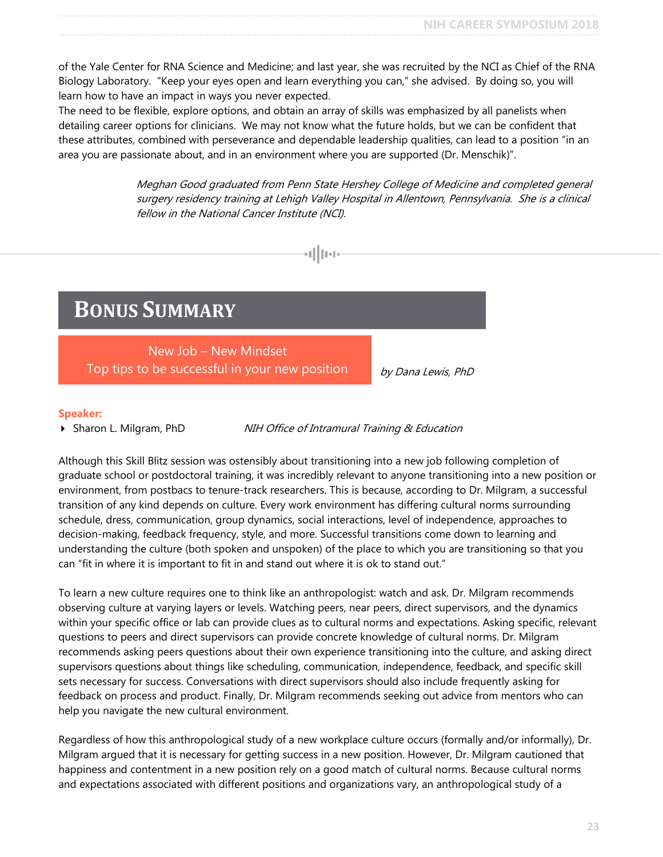of the Yale Center for RNA Science and Medicine; and last year, she was recruited by the NCI as Chief of the RNA Biology Laboratory. "Keep your eyes open and learn everything you can," she advised. By doing so, you will learn how to have an impact in ways you never expected.

The need to be flexible, explore options, and obtain an array of skills was emphasized by all panelists when detailing career options for clinicians. We may not know what the future holds, but we can be confident that these attributes, combined with perseverance and dependable leadership qualities, can lead to a position "in an area you are passionate about, and in an environment where you are supported (Dr. Menschik)".

d||na

Meghan Good graduated from Penn State Hershey College of Medicine and completed general surgery residency training at Lehigh Valley Hospital in Allentown, Pennsylvania. She is a clinical fellow in the National Cancer Institute (NCI).

# <span id="page-22-0"></span>**BONUS SUMMARY**

New Job – New Mindset Top tips to be successful in your new position

by Dana Lewis, PhD

#### **Speaker:**

Sharon L. Milgram, PhD NIH Office of Intramural Training & Education

Although this Skill Blitz session was ostensibly about transitioning into a new job following completion of graduate school or postdoctoral training, it was incredibly relevant to anyone transitioning into a new position or environment, from postbacs to tenure-track researchers. This is because, according to Dr. Milgram, a successful transition of any kind depends on culture. Every work environment has differing cultural norms surrounding schedule, dress, communication, group dynamics, social interactions, level of independence, approaches to decision-making, feedback frequency, style, and more. Successful transitions come down to learning and understanding the culture (both spoken and unspoken) of the place to which you are transitioning so that you can "fit in where it is important to fit in and stand out where it is ok to stand out."

To learn a new culture requires one to think like an anthropologist: watch and ask. Dr. Milgram recommends observing culture at varying layers or levels. Watching peers, near peers, direct supervisors, and the dynamics within your specific office or lab can provide clues as to cultural norms and expectations. Asking specific, relevant questions to peers and direct supervisors can provide concrete knowledge of cultural norms. Dr. Milgram recommends asking peers questions about their own experience transitioning into the culture, and asking direct supervisors questions about things like scheduling, communication, independence, feedback, and specific skill sets necessary for success. Conversations with direct supervisors should also include frequently asking for feedback on process and product. Finally, Dr. Milgram recommends seeking out advice from mentors who can help you navigate the new cultural environment.

Regardless of how this anthropological study of a new workplace culture occurs (formally and/or informally), Dr. Milgram argued that it is necessary for getting success in a new position. However, Dr. Milgram cautioned that happiness and contentment in a new position rely on a good match of cultural norms. Because cultural norms and expectations associated with different positions and organizations vary, an anthropological study of a